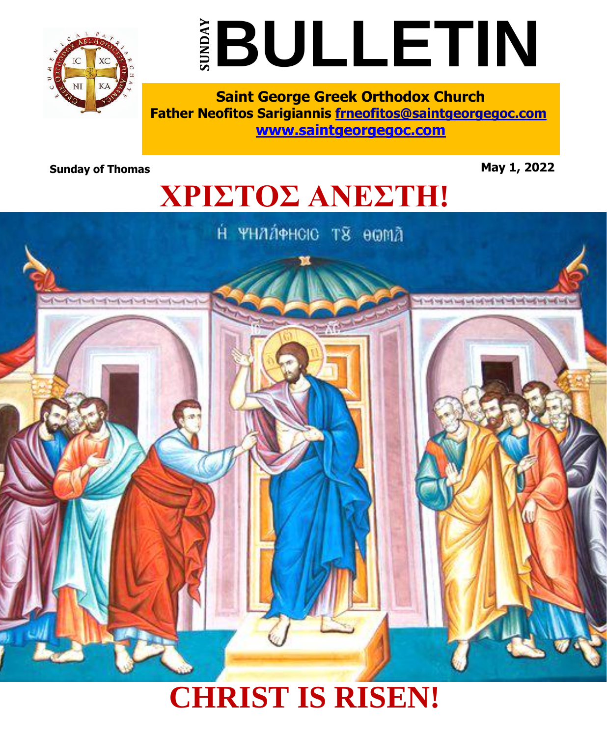



**Saint George Greek Orthodox Church Father Neofitos Sarigiannis frneofitos@saintgeorgegoc.com [www.saintgeorgegoc.com](http://www.saintgeorgegoc.com/)**

**Sunday of Thomas** May 1, 2022

# **ΧΡΙΣΤΟΣ ΑΝΕΣΤΗ!**

Н УНДАФНОЮ ТЯ ӨӨМД



## **CHRIST IS RISEN!**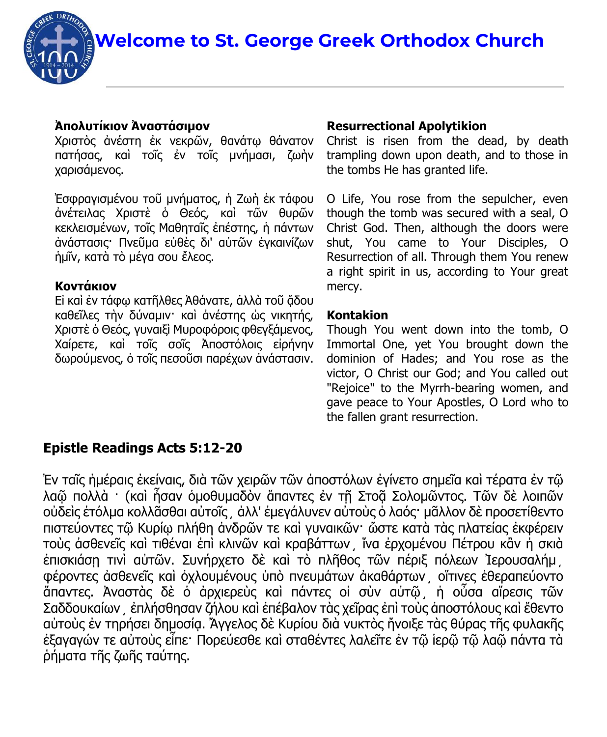**Welcome to St. George Greek Orthodox Church**

#### **Ἀπολυτίκιον Ἀναστάσιμον**

Χριστὸς ἀνέστη ἐκ νεκρῶν, θανάτῳ θάνατον πατήσας, καὶ τοῖς ἐν τοῖς μνήμασι, ζωὴν χαρισάμενος.

Ἐσφραγισμένου τοῦ μνήματος, ἡ Ζωὴ ἐκ τάφου ἀνέτειλας Χριστὲ ὁ Θεός, καὶ τῶν θυρῶν κεκλεισμένων, τοῖς Μαθηταῖς ἐπέστης, ἡ πάντων ἀνάστασις· Πνεῦμα εὐθὲς δι' αὐτῶν ἐγκαινίζων ἡμῖν, κατὰ τὸ μέγα σου ἔλεος.

#### **Κοντάκιον**

Εἰ καὶ ἐν τάφω κατῆλθες Ἀθάνατε, ἀλλὰ τοῦ ἄδου καθεῖλες τὴν δύναμιν· καὶ ἀνέστης ὡς νικητής, Χριστὲ ὁ Θεός, γυναιξὶ Μυροφόροις φθεγξάμενος, Χαίρετε, καὶ τοῖς σοῖς Ἀποστόλοις εἰρήνην δωρούμενος, ὁ τοῖς πεσοῦσι παρέχων ἀνάστασιν.

#### **Resurrectional Apolytikion**

Christ is risen from the dead, by death trampling down upon death, and to those in the tombs He has granted life.

O Life, You rose from the sepulcher, even though the tomb was secured with a seal, O Christ God. Then, although the doors were shut, You came to Your Disciples, O Resurrection of all. Through them You renew a right spirit in us, according to Your great mercy.

#### **Kontakion**

Though You went down into the tomb, O Immortal One, yet You brought down the dominion of Hades; and You rose as the victor, O Christ our God; and You called out "Rejoice" to the Myrrh-bearing women, and gave peace to Your Apostles, O Lord who to the fallen grant resurrection.

#### **Epistle Readings Acts 5:12-20**

Ἐν ταῖς ἡμέραις ἐκείναις, διὰ τῶν χειρῶν τῶν ἀποστόλων ἐγίνετο σημεῖα καὶ τέρατα ἐν τῷ λαῶ πολλὰ · (καὶ ἦσαν ὁμοθυμαδὸν ἄπαντες ἐν τῆ Στοᾶ Σολομῶντος. Τῶν δὲ λοιπῶν οὐδεὶς ἐτόλμα κολλᾶσθαι αὐτοῖς͵ ἀλλ' ἐμεγάλυνεν αὐτοὺς ὁ λαός· μᾶλλον δὲ προσετίθεντο πιστεύοντες τῷ Κυρίῳ πλήθη ἀνδρῶν τε καὶ γυναικῶν· ὥστε κατὰ τὰς πλατείας ἐκφέρειν τοὺς ἀσθενεῖς καὶ τιθέναι ἐπὶ κλινῶν καὶ κραβάττων͵ ἵνα ἐρχομένου Πέτρου κἂν ἡ σκιὰ έπισκιάση τινὶ αὐτῶν. Συνήρχετο δὲ καὶ τὸ πλῆθος τῶν πέριξ πόλεων Ἰερουσαλήμ φέροντες ἀσθενεῖς καὶ ὀχλουμένους ὑπὸ πνευμάτων ἀκαθάρτων͵ οἵτινες ἐθεραπεύοντο ἅπαντες. Ἀναστὰς δὲ ὁ ἀρχιερεὺς καὶ πάντες οἱ σὺν αὐτῷ͵ ἡ οὖσα αἵρεσις τῶν Σαδδουκαίων͵ ἐπλήσθησαν ζήλου καὶ ἐπέβαλον τὰς χεῖρας ἐπὶ τοὺς ἀποστόλους καὶ ἔθεντο αὐτοὺς ἐν τηρήσει δημοσίᾳ. Ἄγγελος δὲ Κυρίου διὰ νυκτὸς ἤνοιξε τὰς θύρας τῆς φυλακῆς ἐξαγαγών τε αὐτοὺς εἶπε· Πορεύεσθε καὶ σταθέντες λαλεῖτε ἐν τῷ ἱερῷ τῷ λαῷ πάντα τὰ ῥήματα τῆς ζωῆς ταύτης.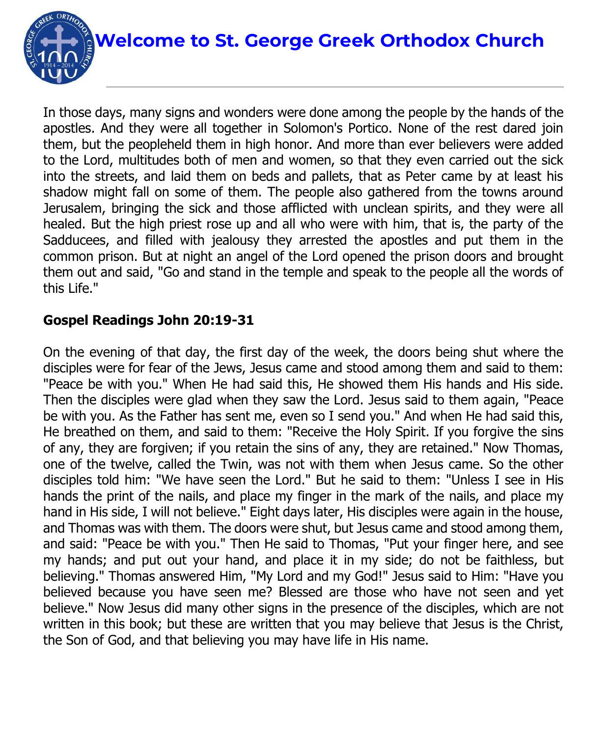

In those days, many signs and wonders were done among the people by the hands of the apostles. And they were all together in Solomon's Portico. None of the rest dared join them, but the peopleheld them in high honor. And more than ever believers were added to the Lord, multitudes both of men and women, so that they even carried out the sick into the streets, and laid them on beds and pallets, that as Peter came by at least his shadow might fall on some of them. The people also gathered from the towns around Jerusalem, bringing the sick and those afflicted with unclean spirits, and they were all healed. But the high priest rose up and all who were with him, that is, the party of the Sadducees, and filled with jealousy they arrested the apostles and put them in the common prison. But at night an angel of the Lord opened the prison doors and brought them out and said, "Go and stand in the temple and speak to the people all the words of this Life."

### **Gospel Readings John 20:19-31**

On the evening of that day, the first day of the week, the doors being shut where the disciples were for fear of the Jews, Jesus came and stood among them and said to them: "Peace be with you." When He had said this, He showed them His hands and His side. Then the disciples were glad when they saw the Lord. Jesus said to them again, "Peace be with you. As the Father has sent me, even so I send you." And when He had said this, He breathed on them, and said to them: "Receive the Holy Spirit. If you forgive the sins of any, they are forgiven; if you retain the sins of any, they are retained." Now Thomas, one of the twelve, called the Twin, was not with them when Jesus came. So the other disciples told him: "We have seen the Lord." But he said to them: "Unless I see in His hands the print of the nails, and place my finger in the mark of the nails, and place my hand in His side, I will not believe." Eight days later, His disciples were again in the house, and Thomas was with them. The doors were shut, but Jesus came and stood among them, and said: "Peace be with you." Then He said to Thomas, "Put your finger here, and see my hands; and put out your hand, and place it in my side; do not be faithless, but believing." Thomas answered Him, "My Lord and my God!" Jesus said to Him: "Have you believed because you have seen me? Blessed are those who have not seen and yet believe." Now Jesus did many other signs in the presence of the disciples, which are not written in this book; but these are written that you may believe that Jesus is the Christ, the Son of God, and that believing you may have life in His name.